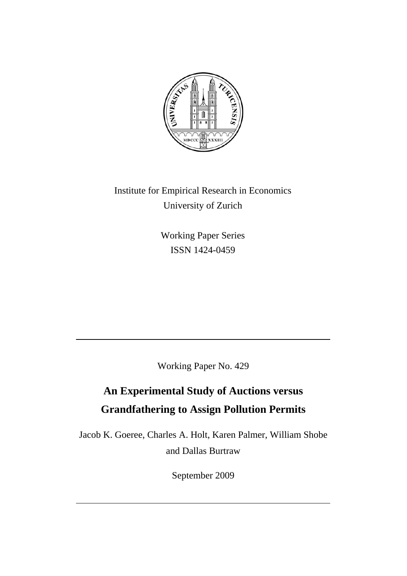

Institute for Empirical Research in Economics University of Zurich

> Working Paper Series ISSN 1424-0459

Working Paper No. 429

# **An Experimental Study of Auctions versus Grandfathering to Assign Pollution Permits**

Jacob K. Goeree, Charles A. Holt, Karen Palmer, William Shobe and Dallas Burtraw

September 2009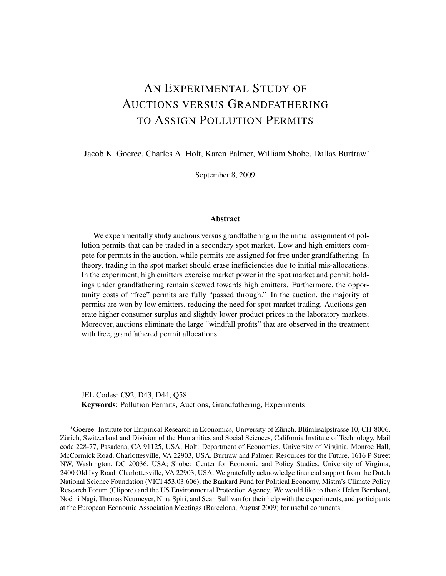## AN EXPERIMENTAL STUDY OF AUCTIONS VERSUS GRANDFATHERING TO ASSIGN POLLUTION PERMITS

Jacob K. Goeree, Charles A. Holt, Karen Palmer, William Shobe, Dallas Burtraw<sup>∗</sup>

September 8, 2009

#### Abstract

We experimentally study auctions versus grandfathering in the initial assignment of pollution permits that can be traded in a secondary spot market. Low and high emitters compete for permits in the auction, while permits are assigned for free under grandfathering. In theory, trading in the spot market should erase inefficiencies due to initial mis-allocations. In the experiment, high emitters exercise market power in the spot market and permit holdings under grandfathering remain skewed towards high emitters. Furthermore, the opportunity costs of "free" permits are fully "passed through." In the auction, the majority of permits are won by low emitters, reducing the need for spot-market trading. Auctions generate higher consumer surplus and slightly lower product prices in the laboratory markets. Moreover, auctions eliminate the large "windfall profits" that are observed in the treatment with free, grandfathered permit allocations.

JEL Codes: C92, D43, D44, Q58 Keywords: Pollution Permits, Auctions, Grandfathering, Experiments

<sup>\*</sup>Goeree: Institute for Empirical Research in Economics, University of Zürich, Blümlisalpstrasse 10, CH-8006, Zürich, Switzerland and Division of the Humanities and Social Sciences, California Institute of Technology, Mail code 228-77, Pasadena, CA 91125, USA; Holt: Department of Economics, University of Virginia, Monroe Hall, McCormick Road, Charlottesville, VA 22903, USA. Burtraw and Palmer: Resources for the Future, 1616 P Street NW, Washington, DC 20036, USA; Shobe: Center for Economic and Policy Studies, University of Virginia, 2400 Old Ivy Road, Charlottesville, VA 22903, USA. We gratefully acknowledge financial support from the Dutch National Science Foundation (VICI 453.03.606), the Bankard Fund for Political Economy, Mistra's Climate Policy Research Forum (Clipore) and the US Environmental Protection Agency. We would like to thank Helen Bernhard, Noemi Nagi, Thomas Neumeyer, Nina Spiri, and Sean Sullivan for their help with the experiments, and participants ´ at the European Economic Association Meetings (Barcelona, August 2009) for useful comments.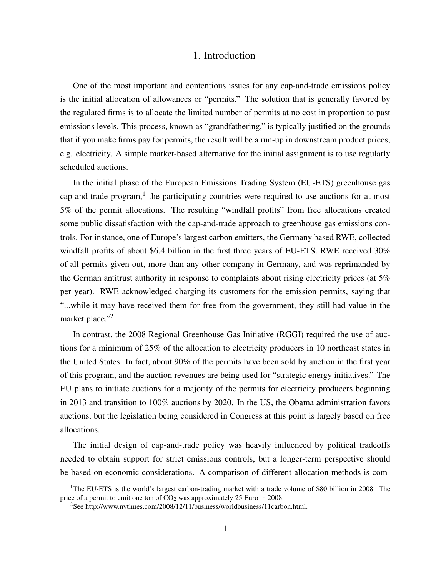### 1. Introduction

One of the most important and contentious issues for any cap-and-trade emissions policy is the initial allocation of allowances or "permits." The solution that is generally favored by the regulated firms is to allocate the limited number of permits at no cost in proportion to past emissions levels. This process, known as "grandfathering," is typically justified on the grounds that if you make firms pay for permits, the result will be a run-up in downstream product prices, e.g. electricity. A simple market-based alternative for the initial assignment is to use regularly scheduled auctions.

In the initial phase of the European Emissions Trading System (EU-ETS) greenhouse gas cap-and-trade program,<sup>1</sup> the participating countries were required to use auctions for at most 5% of the permit allocations. The resulting "windfall profits" from free allocations created some public dissatisfaction with the cap-and-trade approach to greenhouse gas emissions controls. For instance, one of Europe's largest carbon emitters, the Germany based RWE, collected windfall profits of about \$6.4 billion in the first three years of EU-ETS. RWE received 30% of all permits given out, more than any other company in Germany, and was reprimanded by the German antitrust authority in response to complaints about rising electricity prices (at 5% per year). RWE acknowledged charging its customers for the emission permits, saying that "...while it may have received them for free from the government, they still had value in the market place."<sup>2</sup>

In contrast, the 2008 Regional Greenhouse Gas Initiative (RGGI) required the use of auctions for a minimum of 25% of the allocation to electricity producers in 10 northeast states in the United States. In fact, about 90% of the permits have been sold by auction in the first year of this program, and the auction revenues are being used for "strategic energy initiatives." The EU plans to initiate auctions for a majority of the permits for electricity producers beginning in 2013 and transition to 100% auctions by 2020. In the US, the Obama administration favors auctions, but the legislation being considered in Congress at this point is largely based on free allocations.

The initial design of cap-and-trade policy was heavily influenced by political tradeoffs needed to obtain support for strict emissions controls, but a longer-term perspective should be based on economic considerations. A comparison of different allocation methods is com-

<sup>&</sup>lt;sup>1</sup>The EU-ETS is the world's largest carbon-trading market with a trade volume of \$80 billion in 2008. The price of a permit to emit one ton of  $CO<sub>2</sub>$  was approximately 25 Euro in 2008.

<sup>2</sup>See http://www.nytimes.com/2008/12/11/business/worldbusiness/11carbon.html.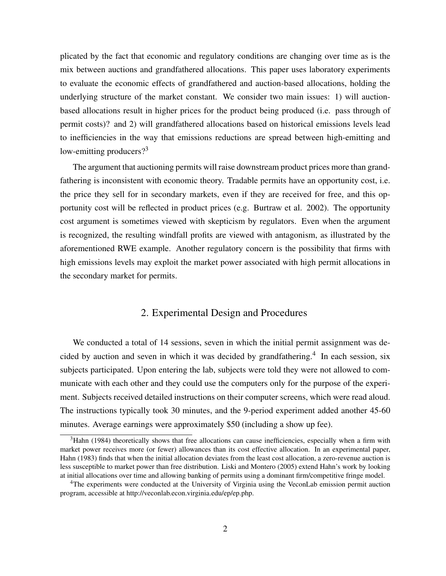plicated by the fact that economic and regulatory conditions are changing over time as is the mix between auctions and grandfathered allocations. This paper uses laboratory experiments to evaluate the economic effects of grandfathered and auction-based allocations, holding the underlying structure of the market constant. We consider two main issues: 1) will auctionbased allocations result in higher prices for the product being produced (i.e. pass through of permit costs)? and 2) will grandfathered allocations based on historical emissions levels lead to inefficiencies in the way that emissions reductions are spread between high-emitting and low-emitting producers?<sup>3</sup>

The argument that auctioning permits will raise downstream product prices more than grandfathering is inconsistent with economic theory. Tradable permits have an opportunity cost, i.e. the price they sell for in secondary markets, even if they are received for free, and this opportunity cost will be reflected in product prices (e.g. Burtraw et al. 2002). The opportunity cost argument is sometimes viewed with skepticism by regulators. Even when the argument is recognized, the resulting windfall profits are viewed with antagonism, as illustrated by the aforementioned RWE example. Another regulatory concern is the possibility that firms with high emissions levels may exploit the market power associated with high permit allocations in the secondary market for permits.

## 2. Experimental Design and Procedures

We conducted a total of 14 sessions, seven in which the initial permit assignment was decided by auction and seven in which it was decided by grandfathering.<sup>4</sup> In each session, six subjects participated. Upon entering the lab, subjects were told they were not allowed to communicate with each other and they could use the computers only for the purpose of the experiment. Subjects received detailed instructions on their computer screens, which were read aloud. The instructions typically took 30 minutes, and the 9-period experiment added another 45-60 minutes. Average earnings were approximately \$50 (including a show up fee).

 $3$ Hahn (1984) theoretically shows that free allocations can cause inefficiencies, especially when a firm with market power receives more (or fewer) allowances than its cost effective allocation. In an experimental paper, Hahn (1983) finds that when the initial allocation deviates from the least cost allocation, a zero-revenue auction is less susceptible to market power than free distribution. Liski and Montero (2005) extend Hahn's work by looking at initial allocations over time and allowing banking of permits using a dominant firm/competitive fringe model.

<sup>4</sup>The experiments were conducted at the University of Virginia using the VeconLab emission permit auction program, accessible at http://veconlab.econ.virginia.edu/ep/ep.php.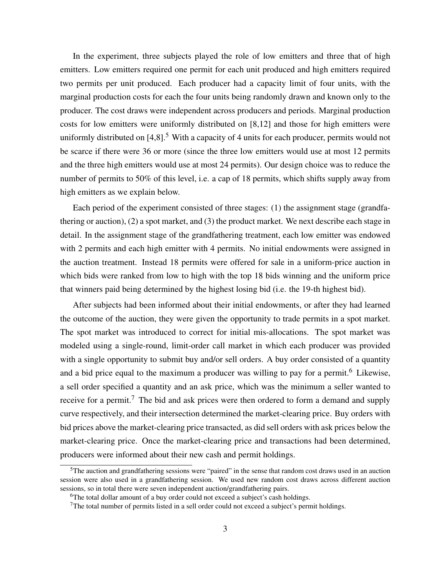In the experiment, three subjects played the role of low emitters and three that of high emitters. Low emitters required one permit for each unit produced and high emitters required two permits per unit produced. Each producer had a capacity limit of four units, with the marginal production costs for each the four units being randomly drawn and known only to the producer. The cost draws were independent across producers and periods. Marginal production costs for low emitters were uniformly distributed on [8,12] and those for high emitters were uniformly distributed on  $[4,8]$ <sup>5</sup>. With a capacity of 4 units for each producer, permits would not be scarce if there were 36 or more (since the three low emitters would use at most 12 permits and the three high emitters would use at most 24 permits). Our design choice was to reduce the number of permits to 50% of this level, i.e. a cap of 18 permits, which shifts supply away from high emitters as we explain below.

Each period of the experiment consisted of three stages: (1) the assignment stage (grandfathering or auction), (2) a spot market, and (3) the product market. We next describe each stage in detail. In the assignment stage of the grandfathering treatment, each low emitter was endowed with 2 permits and each high emitter with 4 permits. No initial endowments were assigned in the auction treatment. Instead 18 permits were offered for sale in a uniform-price auction in which bids were ranked from low to high with the top 18 bids winning and the uniform price that winners paid being determined by the highest losing bid (i.e. the 19-th highest bid).

After subjects had been informed about their initial endowments, or after they had learned the outcome of the auction, they were given the opportunity to trade permits in a spot market. The spot market was introduced to correct for initial mis-allocations. The spot market was modeled using a single-round, limit-order call market in which each producer was provided with a single opportunity to submit buy and/or sell orders. A buy order consisted of a quantity and a bid price equal to the maximum a producer was willing to pay for a permit.<sup>6</sup> Likewise, a sell order specified a quantity and an ask price, which was the minimum a seller wanted to receive for a permit.<sup>7</sup> The bid and ask prices were then ordered to form a demand and supply curve respectively, and their intersection determined the market-clearing price. Buy orders with bid prices above the market-clearing price transacted, as did sell orders with ask prices below the market-clearing price. Once the market-clearing price and transactions had been determined, producers were informed about their new cash and permit holdings.

 $5$ The auction and grandfathering sessions were "paired" in the sense that random cost draws used in an auction session were also used in a grandfathering session. We used new random cost draws across different auction sessions, so in total there were seven independent auction/grandfathering pairs.

<sup>&</sup>lt;sup>6</sup>The total dollar amount of a buy order could not exceed a subject's cash holdings.

 $7$ The total number of permits listed in a sell order could not exceed a subject's permit holdings.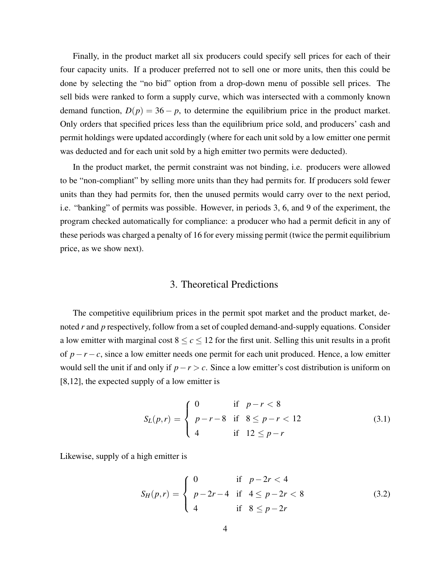Finally, in the product market all six producers could specify sell prices for each of their four capacity units. If a producer preferred not to sell one or more units, then this could be done by selecting the "no bid" option from a drop-down menu of possible sell prices. The sell bids were ranked to form a supply curve, which was intersected with a commonly known demand function,  $D(p) = 36 - p$ , to determine the equilibrium price in the product market. Only orders that specified prices less than the equilibrium price sold, and producers' cash and permit holdings were updated accordingly (where for each unit sold by a low emitter one permit was deducted and for each unit sold by a high emitter two permits were deducted).

In the product market, the permit constraint was not binding, i.e. producers were allowed to be "non-compliant" by selling more units than they had permits for. If producers sold fewer units than they had permits for, then the unused permits would carry over to the next period, i.e. "banking" of permits was possible. However, in periods 3, 6, and 9 of the experiment, the program checked automatically for compliance: a producer who had a permit deficit in any of these periods was charged a penalty of 16 for every missing permit (twice the permit equilibrium price, as we show next).

#### 3. Theoretical Predictions

The competitive equilibrium prices in the permit spot market and the product market, denoted *r* and *p* respectively, follow from a set of coupled demand-and-supply equations. Consider a low emitter with marginal cost  $8 \le c \le 12$  for the first unit. Selling this unit results in a profit of *p*−*r* −*c*, since a low emitter needs one permit for each unit produced. Hence, a low emitter would sell the unit if and only if *p*−*r* > *c*. Since a low emitter's cost distribution is uniform on [8,12], the expected supply of a low emitter is

$$
S_L(p,r) = \begin{cases} 0 & \text{if } p-r < 8\\ p-r-8 & \text{if } 8 \le p-r < 12\\ 4 & \text{if } 12 \le p-r \end{cases}
$$
 (3.1)

Likewise, supply of a high emitter is

$$
S_H(p,r) = \begin{cases} 0 & \text{if } p-2r < 4\\ p-2r-4 & \text{if } 4 \le p-2r < 8\\ 4 & \text{if } 8 \le p-2r \end{cases}
$$
(3.2)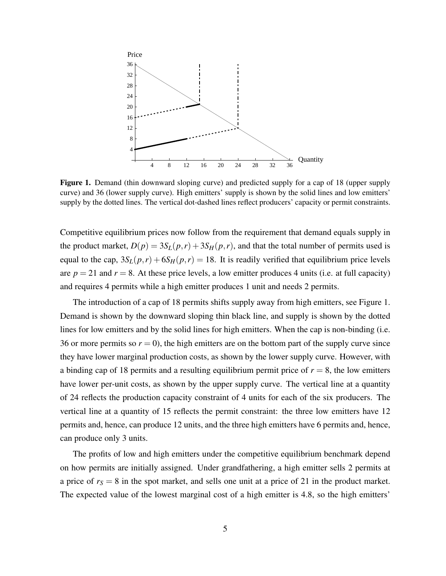

Figure 1. Demand (thin downward sloping curve) and predicted supply for a cap of 18 (upper supply curve) and 36 (lower supply curve). High emitters' supply is shown by the solid lines and low emitters' supply by the dotted lines. The vertical dot-dashed lines reflect producers' capacity or permit constraints.

Competitive equilibrium prices now follow from the requirement that demand equals supply in the product market,  $D(p) = 3S_L(p,r) + 3S_H(p,r)$ , and that the total number of permits used is equal to the cap,  $3S_L(p,r) + 6S_H(p,r) = 18$ . It is readily verified that equilibrium price levels are  $p = 21$  and  $r = 8$ . At these price levels, a low emitter produces 4 units (i.e. at full capacity) and requires 4 permits while a high emitter produces 1 unit and needs 2 permits.

The introduction of a cap of 18 permits shifts supply away from high emitters, see Figure 1. Demand is shown by the downward sloping thin black line, and supply is shown by the dotted lines for low emitters and by the solid lines for high emitters. When the cap is non-binding (i.e. 36 or more permits so  $r = 0$ ), the high emitters are on the bottom part of the supply curve since they have lower marginal production costs, as shown by the lower supply curve. However, with a binding cap of 18 permits and a resulting equilibrium permit price of  $r = 8$ , the low emitters have lower per-unit costs, as shown by the upper supply curve. The vertical line at a quantity of 24 reflects the production capacity constraint of 4 units for each of the six producers. The vertical line at a quantity of 15 reflects the permit constraint: the three low emitters have 12 permits and, hence, can produce 12 units, and the three high emitters have 6 permits and, hence, can produce only 3 units.

The profits of low and high emitters under the competitive equilibrium benchmark depend on how permits are initially assigned. Under grandfathering, a high emitter sells 2 permits at a price of  $r<sub>S</sub> = 8$  in the spot market, and sells one unit at a price of 21 in the product market. The expected value of the lowest marginal cost of a high emitter is 4.8, so the high emitters'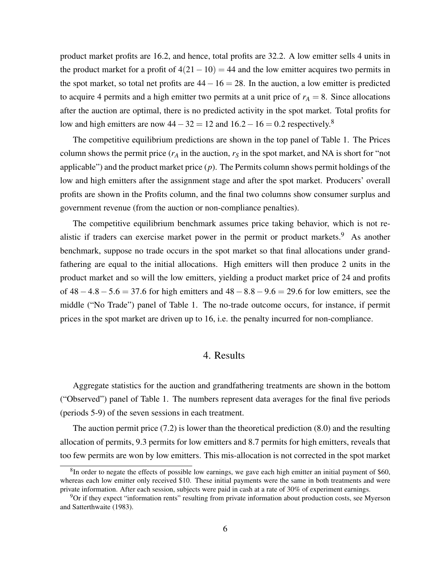product market profits are 16.2, and hence, total profits are 32.2. A low emitter sells 4 units in the product market for a profit of  $4(21-10) = 44$  and the low emitter acquires two permits in the spot market, so total net profits are  $44-16=28$ . In the auction, a low emitter is predicted to acquire 4 permits and a high emitter two permits at a unit price of  $r_A = 8$ . Since allocations after the auction are optimal, there is no predicted activity in the spot market. Total profits for low and high emitters are now  $44-32 = 12$  and  $16.2-16 = 0.2$  respectively.<sup>8</sup>

The competitive equilibrium predictions are shown in the top panel of Table 1. The Prices column shows the permit price  $(r_A$  in the auction,  $r_S$  in the spot market, and NA is short for "not" applicable") and the product market price (*p*). The Permits column shows permit holdings of the low and high emitters after the assignment stage and after the spot market. Producers' overall profits are shown in the Profits column, and the final two columns show consumer surplus and government revenue (from the auction or non-compliance penalties).

The competitive equilibrium benchmark assumes price taking behavior, which is not realistic if traders can exercise market power in the permit or product markets.<sup>9</sup> As another benchmark, suppose no trade occurs in the spot market so that final allocations under grandfathering are equal to the initial allocations. High emitters will then produce 2 units in the product market and so will the low emitters, yielding a product market price of 24 and profits of  $48 - 4.8 - 5.6 = 37.6$  for high emitters and  $48 - 8.8 - 9.6 = 29.6$  for low emitters, see the middle ("No Trade") panel of Table 1. The no-trade outcome occurs, for instance, if permit prices in the spot market are driven up to 16, i.e. the penalty incurred for non-compliance.

## 4. Results

Aggregate statistics for the auction and grandfathering treatments are shown in the bottom ("Observed") panel of Table 1. The numbers represent data averages for the final five periods (periods 5-9) of the seven sessions in each treatment.

The auction permit price (7.2) is lower than the theoretical prediction (8.0) and the resulting allocation of permits, 9.3 permits for low emitters and 8.7 permits for high emitters, reveals that too few permits are won by low emitters. This mis-allocation is not corrected in the spot market

 ${}^{8}$ In order to negate the effects of possible low earnings, we gave each high emitter an initial payment of \$60, whereas each low emitter only received \$10. These initial payments were the same in both treatments and were private information. After each session, subjects were paid in cash at a rate of 30% of experiment earnings.

<sup>&</sup>lt;sup>9</sup>Or if they expect "information rents" resulting from private information about production costs, see Myerson and Satterthwaite (1983).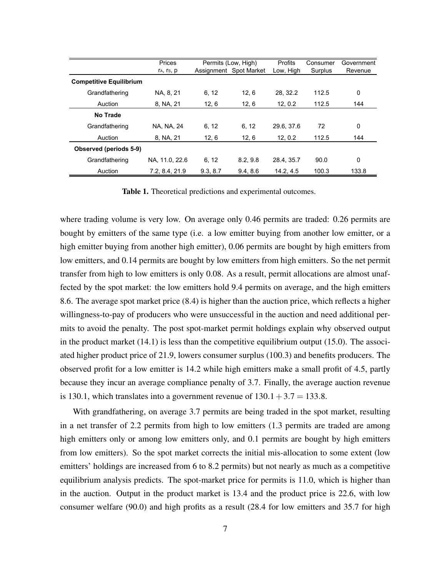|                                | Prices         | Permits (Low, High) |                        | Profits    | Consumer | Government |
|--------------------------------|----------------|---------------------|------------------------|------------|----------|------------|
|                                | ra, rs, p      |                     | Assignment Spot Market | Low, High  | Surplus  | Revenue    |
| <b>Competitive Equilibrium</b> |                |                     |                        |            |          |            |
| Grandfathering                 | NA, 8, 21      | 6, 12               | 12, 6                  | 28, 32.2   | 112.5    | 0          |
| Auction                        | 8, NA, 21      | 12, 6               | 12, 6                  | 12, 0.2    | 112.5    | 144        |
| No Trade                       |                |                     |                        |            |          |            |
| Grandfathering                 | NA, NA, 24     | 6, 12               | 6, 12                  | 29.6, 37.6 | 72       | 0          |
| Auction                        | 8, NA, 21      | 12, 6               | 12, 6                  | 12, 0.2    | 112.5    | 144        |
| Observed (periods 5-9)         |                |                     |                        |            |          |            |
| Grandfathering                 | NA. 11.0. 22.6 | 6, 12               | 8.2.9.8                | 28.4.35.7  | 90.0     | 0          |
| Auction                        | 7.2. 8.4. 21.9 | 9.3.8.7             | 9.4.8.6                | 14.2.4.5   | 100.3    | 133.8      |

Table 1. Theoretical predictions and experimental outcomes.

where trading volume is very low. On average only 0.46 permits are traded: 0.26 permits are bought by emitters of the same type (i.e. a low emitter buying from another low emitter, or a high emitter buying from another high emitter), 0.06 permits are bought by high emitters from low emitters, and 0.14 permits are bought by low emitters from high emitters. So the net permit transfer from high to low emitters is only 0.08. As a result, permit allocations are almost unaffected by the spot market: the low emitters hold 9.4 permits on average, and the high emitters 8.6. The average spot market price (8.4) is higher than the auction price, which reflects a higher willingness-to-pay of producers who were unsuccessful in the auction and need additional permits to avoid the penalty. The post spot-market permit holdings explain why observed output in the product market (14.1) is less than the competitive equilibrium output (15.0). The associated higher product price of 21.9, lowers consumer surplus (100.3) and benefits producers. The observed profit for a low emitter is 14.2 while high emitters make a small profit of 4.5, partly because they incur an average compliance penalty of 3.7. Finally, the average auction revenue is 130.1, which translates into a government revenue of  $130.1 + 3.7 = 133.8$ .

With grandfathering, on average 3.7 permits are being traded in the spot market, resulting in a net transfer of 2.2 permits from high to low emitters (1.3 permits are traded are among high emitters only or among low emitters only, and 0.1 permits are bought by high emitters from low emitters). So the spot market corrects the initial mis-allocation to some extent (low emitters' holdings are increased from 6 to 8.2 permits) but not nearly as much as a competitive equilibrium analysis predicts. The spot-market price for permits is 11.0, which is higher than in the auction. Output in the product market is 13.4 and the product price is 22.6, with low consumer welfare (90.0) and high profits as a result (28.4 for low emitters and 35.7 for high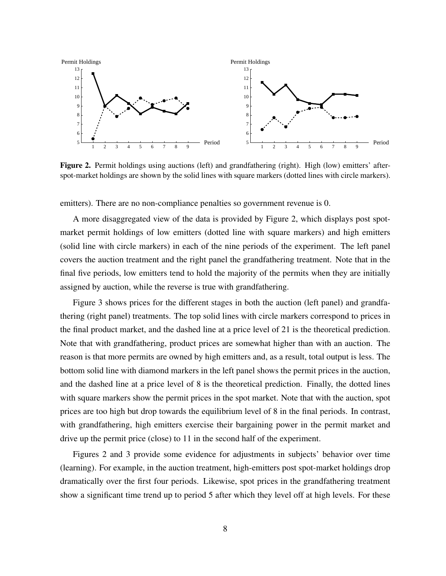

Figure 2. Permit holdings using auctions (left) and grandfathering (right). High (low) emitters' afterspot-market holdings are shown by the solid lines with square markers (dotted lines with circle markers).

emitters). There are no non-compliance penalties so government revenue is 0.

A more disaggregated view of the data is provided by Figure 2, which displays post spotmarket permit holdings of low emitters (dotted line with square markers) and high emitters (solid line with circle markers) in each of the nine periods of the experiment. The left panel covers the auction treatment and the right panel the grandfathering treatment. Note that in the final five periods, low emitters tend to hold the majority of the permits when they are initially assigned by auction, while the reverse is true with grandfathering.

Figure 3 shows prices for the different stages in both the auction (left panel) and grandfathering (right panel) treatments. The top solid lines with circle markers correspond to prices in the final product market, and the dashed line at a price level of 21 is the theoretical prediction. Note that with grandfathering, product prices are somewhat higher than with an auction. The reason is that more permits are owned by high emitters and, as a result, total output is less. The bottom solid line with diamond markers in the left panel shows the permit prices in the auction, and the dashed line at a price level of 8 is the theoretical prediction. Finally, the dotted lines with square markers show the permit prices in the spot market. Note that with the auction, spot prices are too high but drop towards the equilibrium level of 8 in the final periods. In contrast, with grandfathering, high emitters exercise their bargaining power in the permit market and drive up the permit price (close) to 11 in the second half of the experiment.

Figures 2 and 3 provide some evidence for adjustments in subjects' behavior over time (learning). For example, in the auction treatment, high-emitters post spot-market holdings drop dramatically over the first four periods. Likewise, spot prices in the grandfathering treatment show a significant time trend up to period 5 after which they level off at high levels. For these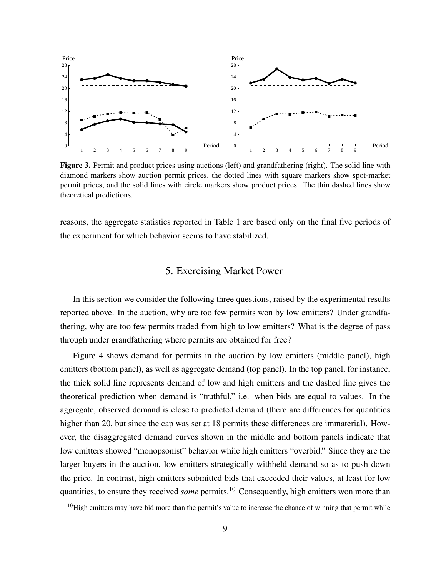

Figure 3. Permit and product prices using auctions (left) and grandfathering (right). The solid line with diamond markers show auction permit prices, the dotted lines with square markers show spot-market permit prices, and the solid lines with circle markers show product prices. The thin dashed lines show theoretical predictions.

reasons, the aggregate statistics reported in Table 1 are based only on the final five periods of the experiment for which behavior seems to have stabilized.

## 5. Exercising Market Power

In this section we consider the following three questions, raised by the experimental results reported above. In the auction, why are too few permits won by low emitters? Under grandfathering, why are too few permits traded from high to low emitters? What is the degree of pass through under grandfathering where permits are obtained for free?

Figure 4 shows demand for permits in the auction by low emitters (middle panel), high emitters (bottom panel), as well as aggregate demand (top panel). In the top panel, for instance, the thick solid line represents demand of low and high emitters and the dashed line gives the theoretical prediction when demand is "truthful," i.e. when bids are equal to values. In the aggregate, observed demand is close to predicted demand (there are differences for quantities higher than 20, but since the cap was set at 18 permits these differences are immaterial). However, the disaggregated demand curves shown in the middle and bottom panels indicate that low emitters showed "monopsonist" behavior while high emitters "overbid." Since they are the larger buyers in the auction, low emitters strategically withheld demand so as to push down the price. In contrast, high emitters submitted bids that exceeded their values, at least for low quantities, to ensure they received *some* permits.<sup>10</sup> Consequently, high emitters won more than

 $10$ High emitters may have bid more than the permit's value to increase the chance of winning that permit while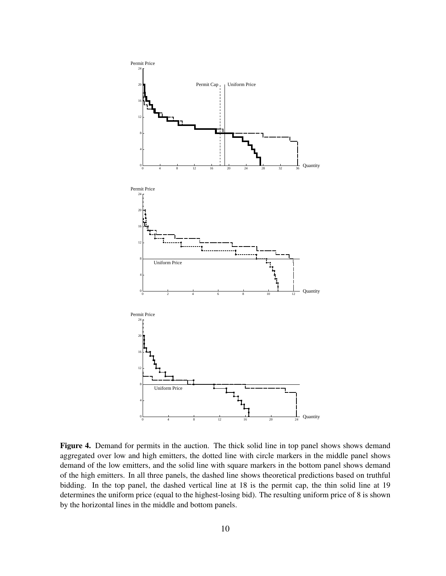

Figure 4. Demand for permits in the auction. The thick solid line in top panel shows shows demand aggregated over low and high emitters, the dotted line with circle markers in the middle panel shows demand of the low emitters, and the solid line with square markers in the bottom panel shows demand of the high emitters. In all three panels, the dashed line shows theoretical predictions based on truthful bidding. In the top panel, the dashed vertical line at 18 is the permit cap, the thin solid line at 19 determines the uniform price (equal to the highest-losing bid). The resulting uniform price of 8 is shown by the horizontal lines in the middle and bottom panels.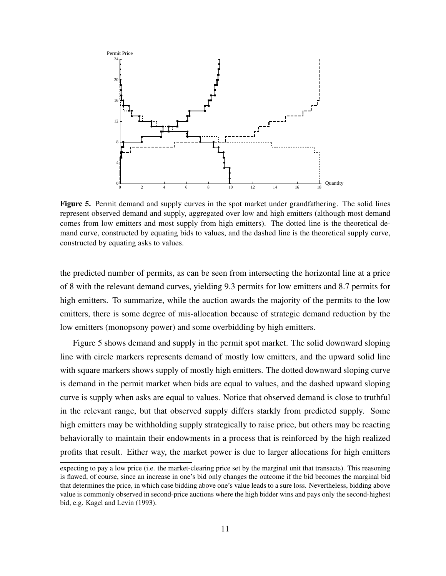

Figure 5. Permit demand and supply curves in the spot market under grandfathering. The solid lines represent observed demand and supply, aggregated over low and high emitters (although most demand comes from low emitters and most supply from high emitters). The dotted line is the theoretical demand curve, constructed by equating bids to values, and the dashed line is the theoretical supply curve, constructed by equating asks to values.

the predicted number of permits, as can be seen from intersecting the horizontal line at a price of 8 with the relevant demand curves, yielding 9.3 permits for low emitters and 8.7 permits for high emitters. To summarize, while the auction awards the majority of the permits to the low emitters, there is some degree of mis-allocation because of strategic demand reduction by the low emitters (monopsony power) and some overbidding by high emitters.

Figure 5 shows demand and supply in the permit spot market. The solid downward sloping line with circle markers represents demand of mostly low emitters, and the upward solid line with square markers shows supply of mostly high emitters. The dotted downward sloping curve is demand in the permit market when bids are equal to values, and the dashed upward sloping curve is supply when asks are equal to values. Notice that observed demand is close to truthful in the relevant range, but that observed supply differs starkly from predicted supply. Some high emitters may be withholding supply strategically to raise price, but others may be reacting behaviorally to maintain their endowments in a process that is reinforced by the high realized profits that result. Either way, the market power is due to larger allocations for high emitters

expecting to pay a low price (i.e. the market-clearing price set by the marginal unit that transacts). This reasoning is flawed, of course, since an increase in one's bid only changes the outcome if the bid becomes the marginal bid that determines the price, in which case bidding above one's value leads to a sure loss. Nevertheless, bidding above value is commonly observed in second-price auctions where the high bidder wins and pays only the second-highest bid, e.g. Kagel and Levin (1993).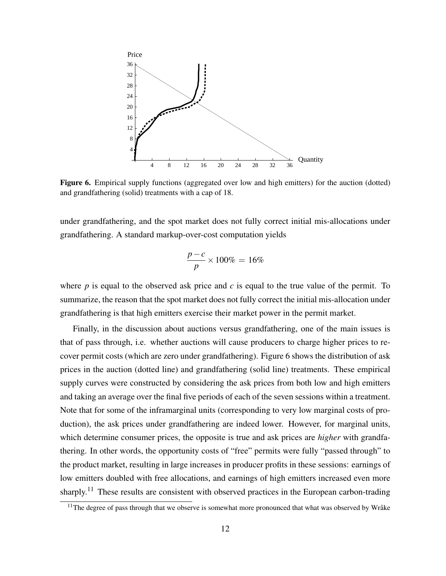

Figure 6. Empirical supply functions (aggregated over low and high emitters) for the auction (dotted) and grandfathering (solid) treatments with a cap of 18.

under grandfathering, and the spot market does not fully correct initial mis-allocations under grandfathering. A standard markup-over-cost computation yields

$$
\frac{p-c}{p} \times 100\% = 16\%
$$

where *p* is equal to the observed ask price and *c* is equal to the true value of the permit. To summarize, the reason that the spot market does not fully correct the initial mis-allocation under grandfathering is that high emitters exercise their market power in the permit market.

Finally, in the discussion about auctions versus grandfathering, one of the main issues is that of pass through, i.e. whether auctions will cause producers to charge higher prices to recover permit costs (which are zero under grandfathering). Figure 6 shows the distribution of ask prices in the auction (dotted line) and grandfathering (solid line) treatments. These empirical supply curves were constructed by considering the ask prices from both low and high emitters and taking an average over the final five periods of each of the seven sessions within a treatment. Note that for some of the inframarginal units (corresponding to very low marginal costs of production), the ask prices under grandfathering are indeed lower. However, for marginal units, which determine consumer prices, the opposite is true and ask prices are *higher* with grandfathering. In other words, the opportunity costs of "free" permits were fully "passed through" to the product market, resulting in large increases in producer profits in these sessions: earnings of low emitters doubled with free allocations, and earnings of high emitters increased even more sharply.<sup>11</sup> These results are consistent with observed practices in the European carbon-trading

 $11$ The degree of pass through that we observe is somewhat more pronounced that what was observed by Wråke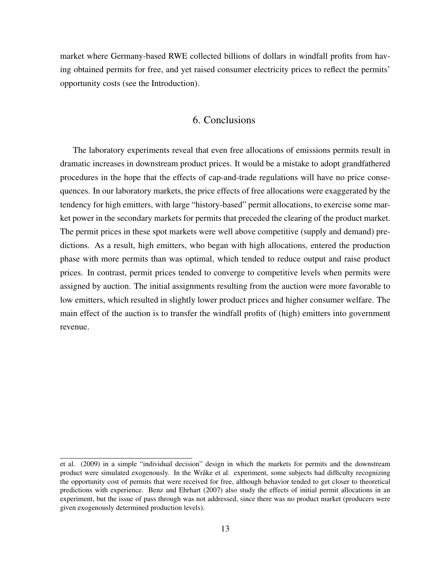market where Germany-based RWE collected billions of dollars in windfall profits from having obtained permits for free, and yet raised consumer electricity prices to reflect the permits' opportunity costs (see the Introduction).

## 6. Conclusions

The laboratory experiments reveal that even free allocations of emissions permits result in dramatic increases in downstream product prices. It would be a mistake to adopt grandfathered procedures in the hope that the effects of cap-and-trade regulations will have no price consequences. In our laboratory markets, the price effects of free allocations were exaggerated by the tendency for high emitters, with large "history-based" permit allocations, to exercise some market power in the secondary markets for permits that preceded the clearing of the product market. The permit prices in these spot markets were well above competitive (supply and demand) predictions. As a result, high emitters, who began with high allocations, entered the production phase with more permits than was optimal, which tended to reduce output and raise product prices. In contrast, permit prices tended to converge to competitive levels when permits were assigned by auction. The initial assignments resulting from the auction were more favorable to low emitters, which resulted in slightly lower product prices and higher consumer welfare. The main effect of the auction is to transfer the windfall profits of (high) emitters into government revenue.

et al. (2009) in a simple "individual decision" design in which the markets for permits and the downstream product were simulated exogenously. In the Wråke et al. experiment, some subjects had difficulty recognizing the opportunity cost of permits that were received for free, although behavior tended to get closer to theoretical predictions with experience. Benz and Ehrhart (2007) also study the effects of initial permit allocations in an experiment, but the issue of pass through was not addressed, since there was no product market (producers were given exogenously determined production levels).